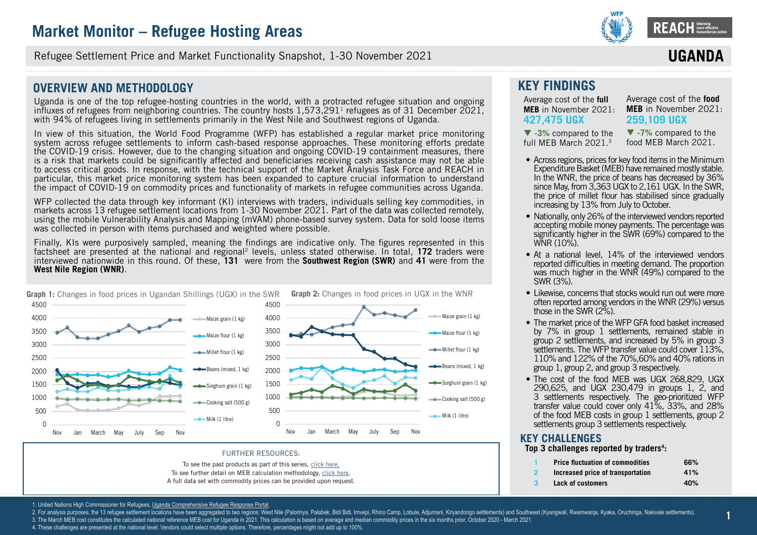

**ssssssss** Refugee Settlement Price and Market Functionality Snapshot, 1-30 November 2021

### **OVERVIEW AND METHODOLOGY**

Uganda is one of the top refugee-hosting countries in the world, with a protracted refugee situation and ongoing influxes of refugees from neighboring countries. The country hosts  $1.573,291<sup>1</sup>$  refugees as of 31 December 2021, with 94% of refugees living in settlements primarily in the West Nile and Southwest regions of Uganda.

In view of this situation, the World Food Programme (WFP) has established a regular market price monitoring system across refugee settlements to inform cash-based response approaches. These monitoring efforts predate the COVID-19 crisis. However, due to the changing situation and ongoing COVID-19 containment measures, there is a risk that markets could be significantly affected and beneficiaries receiving cash assistance may not be able to access critical goods. In response, with the technical support of the Market Analysis Task Force and REACH in particular, this market price monitoring system has been expanded to capture crucial information to understand the impact of COVID-19 on commodity prices and functionality of markets in refugee communities across Uganda.

WFP collected the data through key informant (KI) interviews with traders, individuals selling key commodities, in markets across 13 refugee settlement locations from 1-30 November 2021. Part of the data was collected remotely, using the mobile Vulnerability Analysis and Mapping (mVAM) phone-based survey system. Data for sold loose items was collected in person with items purchased and weighted where possible.

Finally, KIs were purposively sampled, meaning the findings are indicative only. The figures represented in this factsheet are presented at the national and regional2 levels, unless stated otherwise. In total, **[172](DBF_num_assessed_national)** traders were interviewed nationwide in this round. Of these, **[131](DBF_num_assessed_south west)** were from the **Southwest Region (SWR)** and **[41](DBF_num_assessed_west nile)** were from the **West Nile Region (WNR)**.



#### FURTHER RESOURCES:

To see the past products as part of this series, [click here.](https://www.reachresourcecentre.info/country/uganda/cycle/28791/#cycle-28791)

To see further detail on MEB calculation methodology, [click here.](https://data2.unhcr.org/en/documents/details/77858) A full data set with commodity prices can be provided upon request.

### **KEY FINDINGS**

Average cost of the **full MEB** in November 2021: **[427,475](DBF_national_national_meb_full) UGX** 

 **[-3%](DBF_national_national_meb_full_perct_march)** compared to the full MEB March 2021.3

Average cost of the **food MEB** in November 2021: **[259,109](DBF_national_national_meb_food) UGX**

**IIGAN** 

 **[-7](DBF_national_national_meb_food_perct_march)%** compared to the food MEB March 2021.

- Across regions, prices for key food items in the Minimum Expenditure Basket (MEB) have remained mostly stable. In the WNR, the price of beans has decreased by 36% since May, from 3,363 UGX to 2,161 UGX. In the SWR, the price of millet flour has stabilised since gradually increasing by 13% from July to October.
- Nationally, only 26% of the interviewed vendors reported accepting mobile money payments. The percentage was significantly higher in the SWR (69%) compared to the WNR (10%).
- At a national level, 14% of the interviewed vendors reported difficulties in meeting demand. The proportion was much higher in the WNR (49%) compared to the SWR (3%).
- Likewise, concerns that stocks would run out were more often reported among vendors in the WNR (29%) versus those in the SWR (2%).
- The market price of the WFP GFA food basket increased by 7% in group 1 settlements, remained stable in group 2 settlements, and increased by 5% in group 3 settlements. The WFP transfer value could cover 113%. 110% and 122% of the 70%,60% and 40% rations in group 1, group 2, and group 3 respectively.
- The cost of the food MEB was UGX 268,829, UGX 290,625, and UGX 230,479 in groups 1, 2, and 3 settlements respectively. The geo-prioritized WFP transfer value could cover only 41%, 33%, and 28% of the food MEB costs in group 1 settlements, group 2 settlements group 3 settlements respectively.

#### **KEY CHALLENGES Top 3 challenges reported by traders<sup>4</sup> :**

- **1 [Price fluctuation of commodities](DBF_dependent.var.value_uganda_challenge_1) [66%](DBF_numbers_uganda_challenge_1)**
- **2 [Increased price of transportation](DBF_dependent.var.value_uganda_challenge_2) [41%](DBF_numbers_uganda_challenge_2)**
	- **3 [Lack of customers](DBF_dependent.var.value_uganda_challenge_3) [40%](DBF_numbers_uganda_challenge_3)**

**1**

1. United Nations High Commissioner for Refugees, Uganda Comprehensive Refugee Response Portal

- 2. For analysis purposes, the 13 refugee settlement locations have been aggregated to two regions: West Nile (Palorinya, Palabek, Bidi Bidi, Imvepi, Rhino Camp, Lobule, Adjumani, Kiryandongo settlements) and Southwest (Kya
- 3. The March MEB cost constitutes the calculated national reference MEB cost for Uganda in 2021. This calculation is based on average and median commodity prices in the six months prior, October 2020 March 2021.
- 4. These challenges are presented at the national level. Vendors could select multiple options. Therefore, percentages might not add up to 100%.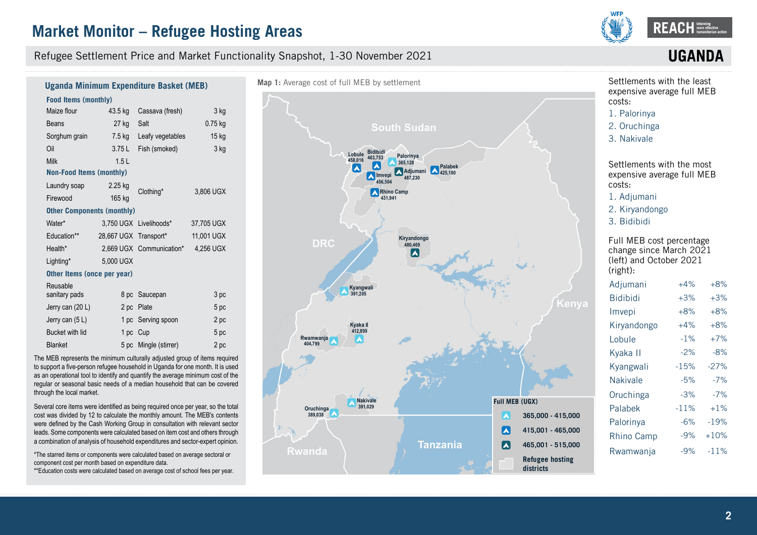

#### Refugee Settlement Price and Market Functionality Snapshot, 1-30 November 2021

# **UGAN**

#### **Food Items (monthly)**  Maize flour Beans Sorghum grain Oil Milk 43.5 kg Cassava (fresh) 27 kg 7.5 kg 3.75 L 1.5 L Salt Leafy vegetables Fish (smoked) 3 kg 0.75 kg 15 kg 3 kg **Non-Food Items (monthly)** Laundry soap Firewood 2.25 kg 165 kg Clothing\* 3,806 UGX **Other Components (monthly)** Water\* Education\*\* Health\* Lighting\* 3,750 UGX Livelihoods\* 28,667 UGX Transport\* 2,669 UGX Communication\* 5,000 UGX 37,705 UGX 11,001 UGX 4,256 UGX **Other Items (once per year)** Reusable sanitary pads Jerry can (20 L) Jerry can (5 L) Bucket with lid Blanket 8 pc Saucepan 2 pc Plate 1 pc Serving spoon 1 pc Cup 5 pc Mingle (stirrer) 3 pc 5 pc 2 pc 5 pc  $2nc$ **Uganda Minimum Expenditure Basket (MEB)**

The MEB represents the minimum culturally adjusted group of items required to support a five-person refugee household in Uganda for one month. It is used as an operational tool to identify and quantify the average minimum cost of the regular or seasonal basic needs of a median household that can be covered through the local market.

Several core items were identified as being required once per year, so the total cost was divided by 12 to calculate the monthly amount. The MEB's contents were defined by the Cash Working Group in consultation with relevant sector leads. Some components were calculated based on item cost and others through a combination of analysis of household expenditures and sector-expert opinion.

\*The starred items or components were calculated based on average sectoral or component cost per month based on expenditure data.

\*\*Education costs were calculated based on average cost of school fees per year.



Settlements with the least expensive average full MEB costs:

1. [Palorinya](DBF_expansive_rank_13)

- 2. [Oruchinga](DBF_expansive_rank_12)
- 3. [Nakivale](DBF_expansive_rank_11)

Settlements with the most expensive average full MEB costs:

1. [Adjumani](DBF_expansive_rank_1)

- 2. [Kiryandongo](DBF_expansive_rank_2)
- 3. [Bidibidi](DBF_expansive_rank_3)

Full MEB cost percentage change since March 2021 (left) and October 2021 (right):

| Adjumani        | $+4%$  | $+8%$  |
|-----------------|--------|--------|
| <b>Bidibidi</b> | $+3%$  | $+3%$  |
| Imvepi          | $+8%$  | $+8%$  |
| Kiryandongo     | $+4%$  | $+8%$  |
| Lobule          | $-1%$  | $+7%$  |
| Kyaka II        | $-2%$  | $-8%$  |
| Kyangwali       | $-15%$ | $-27%$ |
| <b>Nakivale</b> | $-5%$  | $-7%$  |
| Oruchinga       | $-3%$  | $-7%$  |
| Palabek         | $-11%$ | $+1%$  |
| Palorinya       | $-6\%$ | $-19%$ |
| Rhino Camp      | -9%    | $+10%$ |
| Rwamwanja       | $-9%$  | $-11%$ |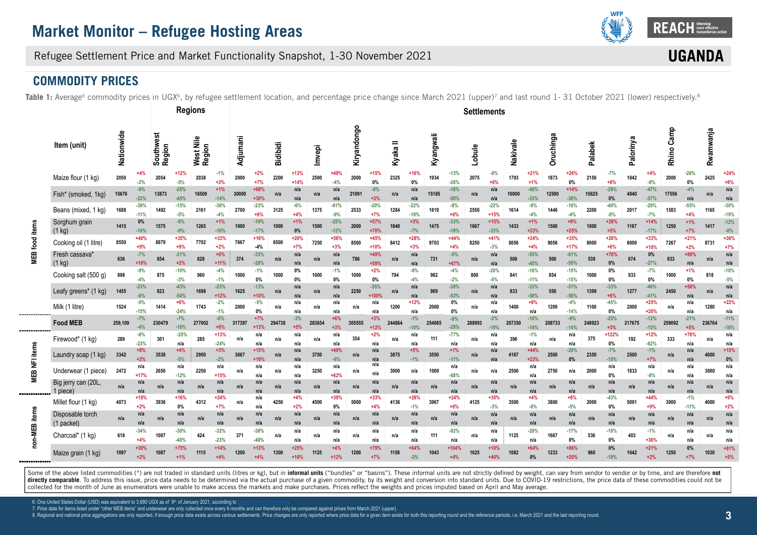

**UGAN** 

### Refugee Settlement Price and Market Functionality Snapshot, 1-30 November 2021

### **COMMODITY PRICES**

Table 1: Average<sup>6</sup> commodity prices in UGX<sup>6</sup>, by refugee settlement location, and percentage price change since March 2021 (upper)<sup>7</sup> and last round 1-31 October 2021 (lower) respectively.<sup>8</sup>

|                |                                   |            |                  |                     |                  | <b>Regions</b>      |                  |          |                  |                 |                  |        |                  |             |                 |            |                  |           |                  | <b>Settlements</b> |                  |          |                  |           |                  |         |                 |           |                  |            |                 |           |                        |
|----------------|-----------------------------------|------------|------------------|---------------------|------------------|---------------------|------------------|----------|------------------|-----------------|------------------|--------|------------------|-------------|-----------------|------------|------------------|-----------|------------------|--------------------|------------------|----------|------------------|-----------|------------------|---------|-----------------|-----------|------------------|------------|-----------------|-----------|------------------------|
|                | Item (unit)                       | Nationwide |                  | Southwest<br>Region |                  | West Nile<br>Region |                  | Adjumani |                  | <b>Bidibidi</b> |                  | Imvepi |                  | Kiryandongo |                 | =<br>Kyaka |                  | Kyangwali |                  | Lobule             |                  | Nakivale |                  | Oruchinga |                  | Palabek |                 | Palorinya |                  | Rhino Camp |                 | Rwamwanja |                        |
|                | Maize flour (1 kg)                | 2050       | +4%<br>$-2%$     | 2054                | +12%<br>$-5%$    | 2038                | $-1\%$<br>$+2%$  | 2000     | $+2%$<br>$+7%$   | 2200            | $+13%$<br>$+14%$ | 2500   | +49%<br>$-4%$    | 2000        | $+15%$<br>0%    | 2325       | $+16%$<br>0%     | 1934      | $-13%$<br>$-26%$ | 2075               | -8%<br>$+6%$     | 1793     | $+21%$<br>$+1%$  | 1873      | $+26%$<br>$0\%$  | 2150    | $-7%$<br>$+6%$  | 1842      | $+4%$<br>$-8%$   | 2000       | $-28%$<br>$0\%$ | 2425      | $+24^{\circ}$<br>$+8%$ |
|                | Fish* (smoked, 1kg)               | 15676      | $-9%$<br>$-22%$  | 13873               | $-25%$<br>$-45%$ | 16509               | $+1%$<br>$-14%$  | 30000    | +68%<br>$+30%$   | n/a             | n/a<br>n/a       | n/a    | n/a<br>n/a       | 21091       | $-8%$<br>$+3%$  | n/a        | n/a<br>n/a       | 15185     | $-18%$<br>$-50%$ | n/a                | n/a<br>n/a       | 10000    | $-48%$<br>$-33%$ | 12500     | $+14%$<br>$-38%$ | 15625   | $-29%$<br>0%    | 4940      | $-47%$<br>$-57%$ | 17556      | $-4%$<br>n/a    | n/a       | n/a<br>n/a             |
|                | Beans (mixed, 1 kg)               | 1688       | $-38%$<br>$-11%$ | 1492                | $-15%$<br>$-5%$  | 2161                | $-36%$<br>$-4%$  | 2700     | $-23%$<br>$+8%$  | 3125            | $-6%$<br>$+4%$   | 1375   | $-61%$<br>$-9%$  | 2533        | $-20%$<br>$+7%$ | 1284       | $-22%$<br>$-18%$ | 1819      | $-8%$<br>$+6%$   | 2550               | $-22%$<br>$+15%$ | 1614     | $-9%$<br>$-4%$   | 1446      | $-16%$<br>$-4%$  | 2200    | $-40%$<br>$-8%$ | 2017      | $-29%$<br>$-7%$  | 1583       | $-55%$<br>$+4%$ | 1165      | $-30%$<br>$-19%$       |
|                | Sorghum grain<br>$(1 \text{ kg})$ | 1415       | $0\%$<br>$-10%$  | 1575                | $-6%$<br>$-9%$   | 1265                | $+1%$<br>$-16%$  | 1000     | $-19%$<br>$-17%$ | 1000            | $+1%$<br>0%      | 1500   | $-25%$<br>$-12%$ | 2000        | $+57%$<br>+70%  | 1840       | $+3%$<br>$-7%$   | 1475      | $-33%$<br>$-18%$ | 1667               | $+15%$<br>$-33%$ | 1433     | $+1%$<br>$+23%$  | 1500      | $+9%$<br>$+25%$  | 1000    | $+28%$<br>$+5%$ | 1167      | $+14%$<br>$-17%$ | 1250       | $+1%$<br>$+7%$  | 1417      | $-12%$<br>$-6%$        |
| MEB food items | Cooking oil (1 litre)             | 8550       | +40%<br>$+9%$    | 8879                | +35%<br>$+9%$    | 7702                | $+33%$<br>$+2%$  | 7667     | $+16%$<br>$-4%$  | 6500            | $+26%$<br>$+7%$  | 7250   | $+56%$<br>$+3%$  | 8500        | +45%<br>$+10%$  | 8412       | $+28%$<br>$+3%$  | 9703      | $+44%$<br>$+4%$  | 8250               | +41%<br>$-3%$    | 8056     | $+24%$<br>$+4%$  | 9056      | $+35%$<br>$+17%$ | 8000    | $+26%$<br>$+6%$ | 8000      | $+33%$<br>$+10%$ | 7267       | $+21%$<br>$+2%$ | 8731      | $+36%$<br>$+7%$        |
|                | Fresh cassava'<br>(1 kg)          | 636        | $-7%$<br>$+10%$  | 654                 | $-21%$<br>$+2%$  | 628                 | $+6%$<br>$+11%$  | 374      | $-33%$<br>$-28%$ | n/a             | n/a<br>n/a       | n/a    | n/a<br>n/a       | 786         | +49%<br>+59%    | n/a        | n/a<br>n/a       | 731       | $-5%$<br>+67%    | n/a                | n/a<br>n/a       | 500      | $-55%$<br>$-45%$ | 500       | $-61%$<br>$-50%$ | 539     | +70%<br>0%      | 674       | 0%<br>$-27%$     | 833        | +89%<br>n/a     | n/a       | n/a<br>n/a             |
|                | Cooking salt (500 g)              | 898        | $-9%$<br>$-4%$   | 875                 | $-10%$<br>$-3%$  | 960                 | $-4%$<br>$-1%$   | 1000     | $-1%$<br>$0\%$   | 1000            | 0%<br>0%         | 1000   | $-1%$<br>0%      | 1000        | $+2%$<br>0%     | 794        | $-8%$<br>$-4%$   | 982       | $-4%$<br>$-2%$   | 800                | $-20%$<br>$-5%$  | 841      | $-16%$<br>$-11%$ | 854       | $-15%$<br>$-15%$ | 1000    | 0%<br>0%        | 933       | $-7%$<br>0%      | 1000       | $+1%$<br>$0\%$  | 818       | $-18%$<br>$-5%$        |
|                | Leafy greens* (1 kg)              | 1455       | $-23%$<br>$-6%$  | 823                 | $-43%$<br>$-54%$ | 1698                | $-23%$<br>$+12%$ | 1625     | $-13%$<br>$+10%$ | n/a             | n/a              | n/a    | n/a<br>n/a       | 2250        | $-35%$<br>+100° | n/a        | n/a<br>n/a       | 909       | $-38%$<br>$-52%$ | n/a                | n/a<br>n/a       | 833      | $-33%$<br>$-58%$ | 556       | $-31%$<br>$-56%$ | 1399    | $-33%$<br>$+6%$ | 1277      | $-40%$<br>$-41%$ | 2450       | $+58%$<br>n/a   | n/a       | n/a<br>n/a             |
|                | Milk (1 litre)                    | 1524       | $-5%$<br>$-15%$  | 1414                | $+6%$<br>$-24%$  | 1743                | $-2%$<br>$-1%$   | 2000     | $-5%$<br>$0\%$   | n/a             | n/a<br>n/a       | n/a    | n/a<br>n/a       | n/a         | n/a<br>n/a      | 1200       | $+12%$<br>n/a    | 2000      | 0%<br>0%         | n/a                | n/a<br>n/a       | 1400     | $+8%$<br>n/a     | 1200      | $-4%$<br>$-14%$  | 1100    | $-45%$<br>$0\%$ | 2000      | $+25%$<br>$+20%$ | n/a        | n/a<br>n/a      | 1280      | $+22%$<br>n/a          |
|                | <b>Food MEB</b>                   | 259,109    | $-7%$<br>$-4%$   | 230479              | $-7%$<br>$-18%$  | 277002              | $-6%$            | 317397   | $+7%$<br>$+13%$  | 294730          | $-3%$            | 283654 | $+6%$<br>$+3%$   | 305555      | $+3%$<br>$+12%$ | 244864     | $-1%$<br>$-16%$  | 254685    | $-8%$<br>$-28%$  | 288993             | $-2%$<br>$-199$  | 207350   | $-10%$<br>$-14%$ | 208733    | $-6%$<br>$-14%$  | 248923  | $-25%$<br>$+3%$ | 217675    | $-12%$<br>$-15%$ | 259092     | $-21%$<br>$+5%$ | 236764    | $-11%$<br>$-16%$       |
|                | Firewood* (1 kg)                  | 289        | $-6%$<br>$-23%$  | 301                 | $-25%$<br>n/a    | 285                 | $+13%$<br>$-24%$ | n/a      | n/a<br>n/a       | n/a             | n/a<br>n/a       | n/a    | n/a<br>n/a       | 354         | $+2%$<br>n/a    | n/a        | n/a<br>n/a       | 111       | $-77%$<br>n/a    | n/a                | n/a<br>n/a       | 396      | $-1%$<br>n/a     | n/a       | n/a<br>n/a       | 375     | +122%<br>0%     | 192       | $+12%$<br>$-62%$ | 333        | $+78%$<br>n/a   | n/a       | n/a<br>n/a             |
| EB NFI items   | Laundry soap (1 kg)               | 3342       | $+8%$<br>$+2%$   | 3538                | $+4%$<br>$-5%$   | 2950                | $+3%$<br>$-2%$   | 3667     | $+15%$<br>$+19%$ | n/a             | n/a<br>n/a       | 3750   | +49%<br>$-6%$    | n/a         | n/a<br>n/a      | 3875       | $+5%$<br>$-1%$   | 3550      | $+1%$<br>$-11%$  | n/a                | n/a<br>n/a       | 4167     | $+44%$<br>$+23%$ | 2500      | $-28%$<br>0%     | 2350    | $-7%$<br>$-18%$ | 2500      | $-1%$<br>$+7%$   | n/a        | n/a             | 4000      | $+15%$<br>0%           |
|                | Underwear (1 piece)               | 2472       | n/a<br>$+17%$    | 2650                | n/a<br>$-12%$    | 2250                | n/a<br>$+15%$    | n/a      | n/a<br>n/a       | n/a             | n/a<br>n/a       | 3250   | n/a<br>+62%      | n/a         | n/a<br>n/a      | 3000       | n/a              | 1000      | n/a<br>$-68%$    | n/a                | n/a              | 2500     | n/a<br>n/a       | 2750      | n/a              | 2000    | n/a<br>0%       | 1833      | n/a<br>$-8%$     | n/a        | n/a<br>n/a      | 3000      | n/a<br>n/a             |
| Σ              | Big jerry can (20L,<br>1 piece)   | n/a        | n/a<br>n/a       | n/a                 | n/a<br>n/a       | n/a                 | n/a<br>n/a       | n/a      | n/a<br>n/a       | n/a             | n/a<br>n/a       | n/a    | n/a<br>n/a       | n/a         | n/a<br>n/a      | n/a        | n/a<br>n/a       | n/a       | n/a<br>n/a       | n/a                | n/a<br>n/a       | n/a      | n/a<br>n/a       | n/a       | n/a<br>n/a       | n/a     | n/a<br>n/a      | n/a       | n/a<br>n/a       | n/a        | n/a<br>n/a      | n/a       | n/a<br>n/a             |
|                | Millet flour (1 kg)               | 4073       | $+18%$<br>$+2%$  | 3936                | +16%<br>0%       | 4312                | $+24%$<br>$+7%$  | n/a      | n/a<br>n/a       | 4250            | $+4%$<br>$+2%$   | 4500   | +39%<br>0%       | 5000        | +33%<br>$+4%$   | 4136       | $+28%$<br>$-1%$  | 3967      | $+24%$<br>$+6%$  | 4125               | +30%<br>$-3%$    | 3500     | $+4%$<br>$-8%$   | 3800      | $+8%$<br>$-5%$   | 2000    | $-43%$<br>0%    | 5091      | $+44%$<br>$+9%$  | 3000       | $-1%$<br>$-11%$ | 4000      | $+9%$<br>$+2%$         |
| items          | Disposable torch<br>(1 packet)    | n/a        | n/a<br>n/a       | n/a                 | n/a<br>n/a       | n/a                 | n/a<br>n/a       | n/a      | n/a<br>n/a       | n/a             | n/a<br>n/a       | n/a    | n/a<br>n/a       | n/a         | n/a<br>n/a      | n/a        | n/a<br>n/a       | n/a       | n/a<br>n/a       | n/a                | n/a<br>n/a       | n/a      | n/a<br>n/a       | n/a       | n/a<br>n/a       | n/a     | n/a<br>n/a      | n/a       | n/a<br>n/a       | n/a        | n/a<br>n/a      | n/a       | n/a<br>n/a             |
| non-MEB        | Charcoal* (1 kg)                  | 618        | $-34%$<br>$+4%$  | 1007                | $-30%$<br>$-40%$ | 424                 | $-32%$<br>$-23%$ | 371      | $-38%$<br>$-40%$ | n/a             | n/a<br>n/a       | n/a    | n/a<br>n/a       | n/a         | n/a<br>n/a      | n/a        | n/a<br>n/a       | 111       | -92%<br>n/a      | n/a                | n/a<br>n/a       | 1125     | $-29%$<br>n/a    | 1667      | $-17%$<br>0%     | 536     | $-18%$<br>0%    | 403       | $-1%$<br>$+36%$  | n/a        | n/a<br>n/a      | n/a       | n/a<br>n/a             |
|                | Maize grain (1 kg)                | 1097       | $+30%$<br>$+2%$  | 1087                | $+75%$<br>$+1%$  | 1115                | $+14%$<br>$+4%$  | 1200     | $+13%$<br>$+4%$  | 1300            | $+25%$<br>$+16%$ | 1125   | $+4%$<br>+12%    | 1200        | +79%<br>$+7%$   | 1158       | $+64%$<br>$-2%$  | 1043      | +104%<br>$+4%$   | 1025               | $+10%$<br>$+40%$ | 1082     | $+64%$<br>0%     | 1233      | $+86%$<br>$+20%$ | 960     | 0%<br>$-18%$    | 1042      | $+21%$<br>$+2%$  | 1250       | $0\%$<br>$+7%$  | 1030      | $+81%$<br>$+5%$        |

Some of the above listed commodities (\*) are not traded in standard units (litres or kg), but in informal units ("bundles" or "basins"). These informal units are not strictly defined by weight, can vary from vendor to vend directly comparable. To address this issue, price data needs to be determined via the actual purchase of a given commodity, by its weight and conversion into standard units. Due to COVID-19 restrictions, the price data of collected for the month of June as enumerators were unable to make access the markets and make purchases. Prices reflect the weights and prices imputed based on April and May average.

6. One United States Dollar (USD) was equivalent to 3,690 UGX as of 9th of January 2021, according to

7. Price data for items listed under "other MEB items" and underwear are only collected once every 6 months and can therefore only be compared against prices from March 2021 (upper).

8. Regional and national price aggregations are only reported, if enough price data exists across various settlements. Price changes are only reported where price data for a given item exists for both this reporting round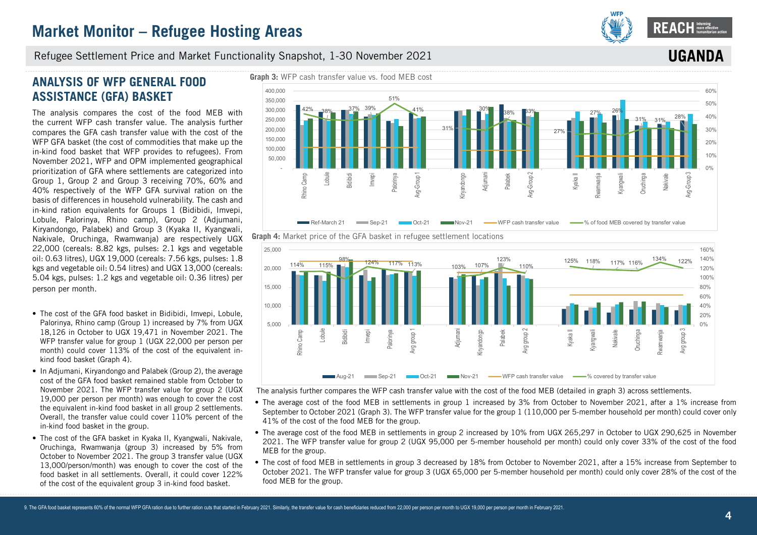

**IIGA** 

#### Refugee Settlement Price and Market Functionality Snapshot, 1-30 November 2021

### **ANALYSIS OF WFP GENERAL FOOD ASSISTANCE (GFA) BASKET**

The analysis compares the cost of the food MEB with the current WFP cash transfer value. The analysis further compares the GFA cash transfer value with the cost of the WFP GFA basket (the cost of commodities that make up the in-kind food basket that WFP provides to refugees). From November 2021, WFP and OPM implemented geographical prioritization of GFA where settlements are categorized into Group 1, Group 2 and Group 3 receiving 70%, 60% and 40% respectively of the WFP GFA survival ration on the basis of differences in household vulnerability. The cash and in-kind ration equivalents for Groups 1 (Bidibidi, Imvepi, Lobule, Palorinya, Rhino camp), Group 2 (Adjumani, Kiryandongo, Palabek) and Group 3 (Kyaka II, Kyangwali, Nakivale, Oruchinga, Rwamwanja) are respectively UGX 22,000 (cereals: 8.82 kgs, pulses: 2.1 kgs and vegetable oil: 0.63 litres), UGX 19,000 (cereals: 7.56 kgs, pulses: 1.8 kgs and vegetable oil: 0.54 litres) and UGX 13,000 (cereals: 5.04 kgs, pulses: 1.2 kgs and vegetable oil: 0.36 litres) per person per month.

- The cost of the GFA food basket in Bidibidi, Imvepi, Lobule, Palorinya, Rhino camp (Group 1) increased by 7% from UGX 18,126 in October to UGX 19,471 in November 2021. The WFP transfer value for group 1 (UGX 22,000 per person per month) could cover 113% of the cost of the equivalent inkind food basket (Graph 4).
- In Adjumani, Kirvandongo and Palabek (Group 2), the average cost of the GFA food basket remained stable from October to November 2021. The WFP transfer value for group 2 (UGX 19,000 per person per month) was enough to cover the cost the equivalent in-kind food basket in all group 2 settlements. Overall, the transfer value could cover 110% percent of the in-kind food basket in the group.
- The cost of the GFA basket in Kyaka II, Kyangwali, Nakivale, Oruchinga, Rwamwanja (group 3) increased by 5% from October to November 2021. The group 3 transfer value (UGX 13,000/person/month) was enough to cover the cost of the food basket in all settlements. Overall, it could cover 122% of the cost of the equivalent group 3 in-kind food basket.





The analysis further compares the WFP cash transfer value with the cost of the food MEB (detailed in graph 3) across settlements.

- The average cost of the food MEB in settlements in group 1 increased by 3% from October to November 2021, after a 1% increase from September to October 2021 (Graph 3). The WFP transfer value for the group 1 (110,000 per 5-member household per month) could cover only 41% of the cost of the food MEB for the group.
- The average cost of the food MEB in settlements in group 2 increased by 10% from UGX 265,297 in October to UGX 290,625 in November 2021. The WFP transfer value for group 2 (UGX 95,000 per 5-member household per month) could only cover 33% of the cost of the food MEB for the group.
- The cost of food MEB in settlements in group 3 decreased by 18% from October to November 2021, after a 15% increase from September to October 2021. The WFP transfer value for group 3 (UGX 65,000 per 5-member household per month) could only cover 28% of the cost of the food MEB for the group.

# **Graph 4:** Market price of the GFA basket in refugee settlement locations